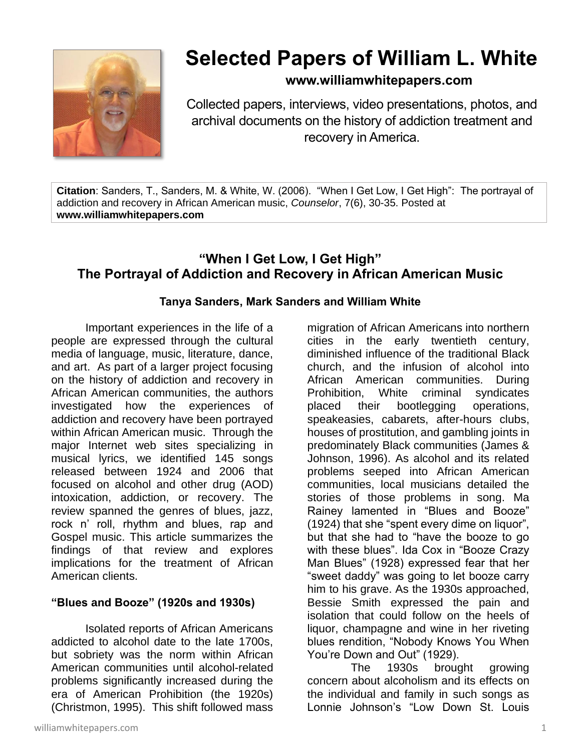

# **Selected Papers of William L. White**

# **www.williamwhitepapers.com**

Collected papers, interviews, video presentations, photos, and archival documents on the history of addiction treatment and recovery in America.

**Citation**: Sanders, T., Sanders, M. & White, W. (2006). "When I Get Low, I Get High": The portrayal of addiction and recovery in African American music, *Counselor*, 7(6), 30-35. Posted at **www.williamwhitepapers.com**

# **"When I Get Low, I Get High" The Portrayal of Addiction and Recovery in African American Music**

## **Tanya Sanders, Mark Sanders and William White**

Important experiences in the life of a people are expressed through the cultural media of language, music, literature, dance, and art. As part of a larger project focusing on the history of addiction and recovery in African American communities, the authors investigated how the experiences of addiction and recovery have been portrayed within African American music. Through the major Internet web sites specializing in musical lyrics, we identified 145 songs released between 1924 and 2006 that focused on alcohol and other drug (AOD) intoxication, addiction, or recovery. The review spanned the genres of blues, jazz, rock n' roll, rhythm and blues, rap and Gospel music. This article summarizes the findings of that review and explores implications for the treatment of African American clients.

## **"Blues and Booze" (1920s and 1930s)**

Isolated reports of African Americans addicted to alcohol date to the late 1700s, but sobriety was the norm within African American communities until alcohol-related problems significantly increased during the era of American Prohibition (the 1920s) (Christmon, 1995). This shift followed mass

cities in the early twentieth century, diminished influence of the traditional Black church, and the infusion of alcohol into African American communities. During Prohibition, White criminal syndicates placed their bootlegging operations, speakeasies, cabarets, after-hours clubs, houses of prostitution, and gambling joints in predominately Black communities (James & Johnson, 1996). As alcohol and its related problems seeped into African American communities, local musicians detailed the stories of those problems in song. Ma Rainey lamented in "Blues and Booze" (1924) that she "spent every dime on liquor", but that she had to "have the booze to go with these blues". Ida Cox in "Booze Crazy Man Blues" (1928) expressed fear that her "sweet daddy" was going to let booze carry him to his grave. As the 1930s approached, Bessie Smith expressed the pain and isolation that could follow on the heels of liquor, champagne and wine in her riveting blues rendition, "Nobody Knows You When You're Down and Out" (1929). The 1930s brought growing

migration of African Americans into northern

concern about alcoholism and its effects on the individual and family in such songs as Lonnie Johnson's "Low Down St. Louis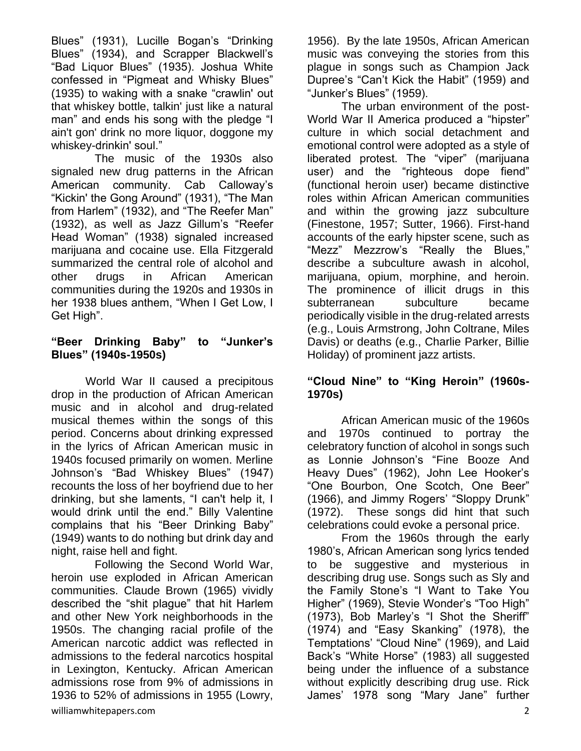Blues" (1931), Lucille Bogan's "Drinking Blues" (1934), and Scrapper Blackwell's "Bad Liquor Blues" (1935). Joshua White confessed in "Pigmeat and Whisky Blues" (1935) to waking with a snake "crawlin' out that whiskey bottle, talkin' just like a natural man" and ends his song with the pledge "I ain't gon' drink no more liquor, doggone my whiskey-drinkin' soul."

The music of the 1930s also signaled new drug patterns in the African American community. Cab Calloway's "Kickin' the Gong Around" (1931), "The Man from Harlem" (1932), and "The Reefer Man" (1932), as well as Jazz Gillum's "Reefer Head Woman" (1938) signaled increased marijuana and cocaine use. Ella Fitzgerald summarized the central role of alcohol and other drugs in African American communities during the 1920s and 1930s in her 1938 blues anthem, "When I Get Low, I Get High".

## **"Beer Drinking Baby" to "Junker's Blues" (1940s-1950s)**

World War II caused a precipitous drop in the production of African American music and in alcohol and drug-related musical themes within the songs of this period. Concerns about drinking expressed in the lyrics of African American music in 1940s focused primarily on women. Merline Johnson's "Bad Whiskey Blues" (1947) recounts the loss of her boyfriend due to her drinking, but she laments, "I can't help it, I would drink until the end." Billy Valentine complains that his "Beer Drinking Baby" (1949) wants to do nothing but drink day and night, raise hell and fight.

Following the Second World War, heroin use exploded in African American communities. Claude Brown (1965) vividly described the "shit plague" that hit Harlem and other New York neighborhoods in the 1950s. The changing racial profile of the American narcotic addict was reflected in admissions to the federal narcotics hospital in Lexington, Kentucky. African American admissions rose from 9% of admissions in 1936 to 52% of admissions in 1955 (Lowry,

1956). By the late 1950s, African American music was conveying the stories from this plague in songs such as Champion Jack Dupree's "Can't Kick the Habit" (1959) and "Junker's Blues" (1959).

The urban environment of the post-World War II America produced a "hipster" culture in which social detachment and emotional control were adopted as a style of liberated protest. The "viper" (marijuana user) and the "righteous dope fiend" (functional heroin user) became distinctive roles within African American communities and within the growing jazz subculture (Finestone, 1957; Sutter, 1966). First-hand accounts of the early hipster scene, such as "Mezz" Mezzrow's "Really the Blues," describe a subculture awash in alcohol, marijuana, opium, morphine, and heroin. The prominence of illicit drugs in this subterranean subculture became periodically visible in the drug-related arrests (e.g., Louis Armstrong, John Coltrane, Miles Davis) or deaths (e.g., Charlie Parker, Billie Holiday) of prominent jazz artists.

#### **"Cloud Nine" to "King Heroin" (1960s-1970s)**

African American music of the 1960s and 1970s continued to portray the celebratory function of alcohol in songs such as Lonnie Johnson's "Fine Booze And Heavy Dues" (1962), John Lee Hooker's "One Bourbon, One Scotch, One Beer" (1966), and Jimmy Rogers' "Sloppy Drunk" (1972). These songs did hint that such celebrations could evoke a personal price.

From the 1960s through the early 1980's, African American song lyrics tended to be suggestive and mysterious in describing drug use. Songs such as Sly and the Family Stone's "I Want to Take You Higher" (1969), Stevie Wonder's "Too High" (1973), Bob Marley's "I Shot the Sheriff" (1974) and "Easy Skanking" (1978), the Temptations' "Cloud Nine" (1969), and Laid Back's "White Horse" (1983) all suggested being under the influence of a substance without explicitly describing drug use. Rick James' 1978 song "Mary Jane" further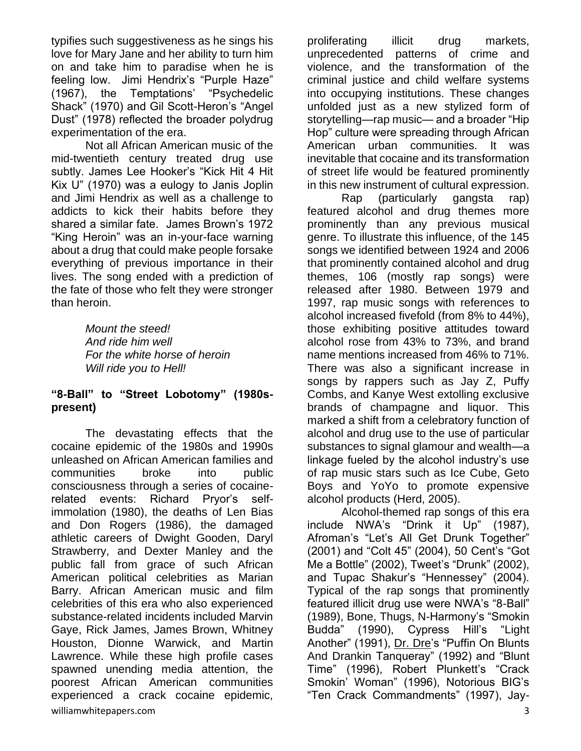typifies such suggestiveness as he sings his love for Mary Jane and her ability to turn him on and take him to paradise when he is feeling low. Jimi Hendrix's "Purple Haze" (1967), the Temptations' "Psychedelic Shack" (1970) and Gil Scott-Heron's "Angel Dust" (1978) reflected the broader polydrug experimentation of the era.

Not all African American music of the mid-twentieth century treated drug use subtly. James Lee Hooker's "Kick Hit 4 Hit Kix U" (1970) was a eulogy to Janis Joplin and Jimi Hendrix as well as a challenge to addicts to kick their habits before they shared a similar fate. James Brown's 1972 "King Heroin" was an in-your-face warning about a drug that could make people forsake everything of previous importance in their lives. The song ended with a prediction of the fate of those who felt they were stronger than heroin.

> *Mount the steed! And ride him well For the white horse of heroin Will ride you to Hell!*

#### **"8-Ball" to "Street Lobotomy" (1980spresent)**

williamwhitepapers.com 3 The devastating effects that the cocaine epidemic of the 1980s and 1990s unleashed on African American families and communities broke into public consciousness through a series of cocainerelated events: Richard Pryor's selfimmolation (1980), the deaths of Len Bias and Don Rogers (1986), the damaged athletic careers of Dwight Gooden, Daryl Strawberry, and Dexter Manley and the public fall from grace of such African American political celebrities as Marian Barry. African American music and film celebrities of this era who also experienced substance-related incidents included Marvin Gaye, Rick James, James Brown, Whitney Houston, Dionne Warwick, and Martin Lawrence. While these high profile cases spawned unending media attention, the poorest African American communities experienced a crack cocaine epidemic,

proliferating illicit drug markets, unprecedented patterns of crime and violence, and the transformation of the criminal justice and child welfare systems into occupying institutions. These changes unfolded just as a new stylized form of storytelling—rap music— and a broader "Hip Hop" culture were spreading through African American urban communities. It was inevitable that cocaine and its transformation of street life would be featured prominently in this new instrument of cultural expression.

Rap (particularly gangsta rap) featured alcohol and drug themes more prominently than any previous musical genre. To illustrate this influence, of the 145 songs we identified between 1924 and 2006 that prominently contained alcohol and drug themes, 106 (mostly rap songs) were released after 1980. Between 1979 and 1997, rap music songs with references to alcohol increased fivefold (from 8% to 44%), those exhibiting positive attitudes toward alcohol rose from 43% to 73%, and brand name mentions increased from 46% to 71%. There was also a significant increase in songs by rappers such as Jay Z, Puffy Combs, and Kanye West extolling exclusive brands of champagne and liquor. This marked a shift from a celebratory function of alcohol and drug use to the use of particular substances to signal glamour and wealth—a linkage fueled by the alcohol industry's use of rap music stars such as Ice Cube, Geto Boys and YoYo to promote expensive alcohol products (Herd, 2005).

Alcohol-themed rap songs of this era include NWA's "Drink it Up" (1987), Afroman's "Let's All Get Drunk Together" (2001) and "Colt 45" (2004), 50 Cent's "Got Me a Bottle" (2002), Tweet's "Drunk" (2002), and Tupac Shakur's "Hennessey" (2004). Typical of the rap songs that prominently featured illicit drug use were NWA's "8-Ball" (1989), Bone, Thugs, N-Harmony's "Smokin Budda" (1990), Cypress Hill's "Light Another" (1991), [Dr. Dre'](http://www.lyricsmania.com/lyrics/dr_dre_lyrics_3005/)s "Puffin On Blunts And Drankin Tanqueray" (1992) and "Blunt Time" (1996), Robert Plunkett's "Crack Smokin' Woman" (1996), Notorious BIG's "Ten Crack Commandments" (1997), Jay-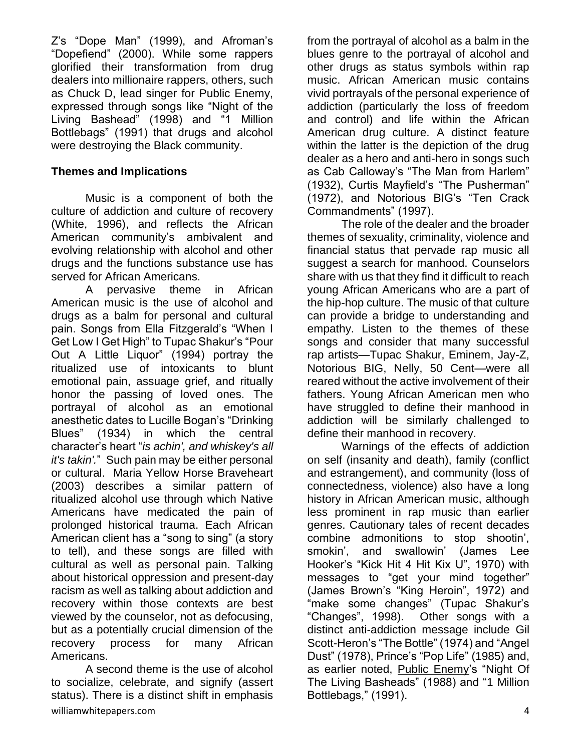Z's "Dope Man" (1999), and Afroman's "Dopefiend" (2000). While some rappers glorified their transformation from drug dealers into millionaire rappers, others, such as Chuck D, lead singer for Public Enemy, expressed through songs like "Night of the Living Bashead" (1998) and "1 Million Bottlebags" (1991) that drugs and alcohol were destroying the Black community.

## **Themes and Implications**

Music is a component of both the culture of addiction and culture of recovery (White, 1996), and reflects the African American community's ambivalent and evolving relationship with alcohol and other drugs and the functions substance use has served for African Americans.

A pervasive theme in African American music is the use of alcohol and drugs as a balm for personal and cultural pain. Songs from Ella Fitzgerald's "When I Get Low I Get High" to Tupac Shakur's "Pour Out A Little Liquor" (1994) portray the ritualized use of intoxicants to blunt emotional pain, assuage grief, and ritually honor the passing of loved ones. The portrayal of alcohol as an emotional anesthetic dates to Lucille Bogan's "Drinking Blues" (1934) in which the central character's heart "*is achin', and whiskey's all it's takin'.*" Such pain may be either personal or cultural. Maria Yellow Horse Braveheart (2003) describes a similar pattern of ritualized alcohol use through which Native Americans have medicated the pain of prolonged historical trauma. Each African American client has a "song to sing" (a story to tell), and these songs are filled with cultural as well as personal pain. Talking about historical oppression and present-day racism as well as talking about addiction and recovery within those contexts are best viewed by the counselor, not as defocusing, but as a potentially crucial dimension of the recovery process for many African Americans.

williamwhitepapers.com 4 A second theme is the use of alcohol to socialize, celebrate, and signify (assert status). There is a distinct shift in emphasis

from the portrayal of alcohol as a balm in the blues genre to the portrayal of alcohol and other drugs as status symbols within rap music. African American music contains vivid portrayals of the personal experience of addiction (particularly the loss of freedom and control) and life within the African American drug culture. A distinct feature within the latter is the depiction of the drug dealer as a hero and anti-hero in songs such as Cab Calloway's "The Man from Harlem" (1932), Curtis Mayfield's "The Pusherman" (1972), and Notorious BIG's "Ten Crack Commandments" (1997).

The role of the dealer and the broader themes of sexuality, criminality, violence and financial status that pervade rap music all suggest a search for manhood. Counselors share with us that they find it difficult to reach young African Americans who are a part of the hip-hop culture. The music of that culture can provide a bridge to understanding and empathy. Listen to the themes of these songs and consider that many successful rap artists—Tupac Shakur, Eminem, Jay-Z, Notorious BIG, Nelly, 50 Cent—were all reared without the active involvement of their fathers. Young African American men who have struggled to define their manhood in addiction will be similarly challenged to define their manhood in recovery.

Warnings of the effects of addiction on self (insanity and death), family (conflict and estrangement), and community (loss of connectedness, violence) also have a long history in African American music, although less prominent in rap music than earlier genres. Cautionary tales of recent decades combine admonitions to stop shootin', smokin', and swallowin' (James Lee Hooker's "Kick Hit 4 Hit Kix U", 1970) with messages to "get your mind together" (James Brown's "King Heroin", 1972) and "make some changes" (Tupac Shakur's "Changes", 1998). Other songs with a distinct anti-addiction message include Gil Scott-Heron's "The Bottle" (1974) and "Angel Dust" (1978), Prince's "Pop Life" (1985) and, as earlier noted, [Public Enemy'](http://www.lyricsmania.com/lyrics/public_enemy_lyrics_1836/)s "Night Of The Living Basheads" (1988) and "1 Million Bottlebags," (1991).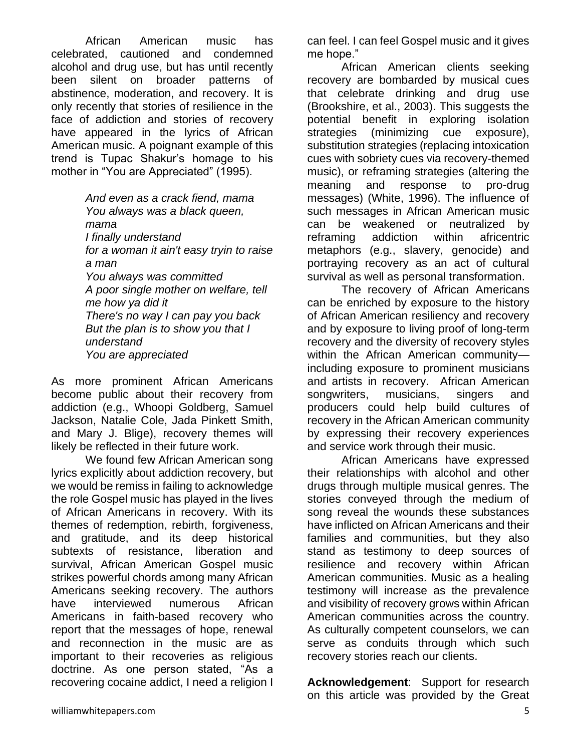African American music has celebrated, cautioned and condemned alcohol and drug use, but has until recently been silent on broader patterns of abstinence, moderation, and recovery. It is only recently that stories of resilience in the face of addiction and stories of recovery have appeared in the lyrics of African American music. A poignant example of this trend is Tupac Shakur's homage to his mother in "You are Appreciated" (1995).

> *And even as a crack fiend, mama You always was a black queen, mama I finally understand for a woman it ain't easy tryin to raise a man You always was committed A poor single mother on welfare, tell me how ya did it There's no way I can pay you back But the plan is to show you that I understand You are appreciated*

As more prominent African Americans become public about their recovery from addiction (e.g., Whoopi Goldberg, Samuel Jackson, Natalie Cole, Jada Pinkett Smith, and Mary J. Blige), recovery themes will likely be reflected in their future work.

We found few African American song lyrics explicitly about addiction recovery, but we would be remiss in failing to acknowledge the role Gospel music has played in the lives of African Americans in recovery. With its themes of redemption, rebirth, forgiveness, and gratitude, and its deep historical subtexts of resistance, liberation and survival, African American Gospel music strikes powerful chords among many African Americans seeking recovery. The authors have interviewed numerous African Americans in faith-based recovery who report that the messages of hope, renewal and reconnection in the music are as important to their recoveries as religious doctrine. As one person stated, "As a recovering cocaine addict, I need a religion I

can feel. I can feel Gospel music and it gives me hope."

African American clients seeking recovery are bombarded by musical cues that celebrate drinking and drug use (Brookshire, et al., 2003). This suggests the potential benefit in exploring isolation strategies (minimizing cue exposure), substitution strategies (replacing intoxication cues with sobriety cues via recovery-themed music), or reframing strategies (altering the meaning and response to pro-drug messages) (White, 1996). The influence of such messages in African American music can be weakened or neutralized by reframing addiction within africentric metaphors (e.g., slavery, genocide) and portraying recovery as an act of cultural survival as well as personal transformation.

The recovery of African Americans can be enriched by exposure to the history of African American resiliency and recovery and by exposure to living proof of long-term recovery and the diversity of recovery styles within the African American community including exposure to prominent musicians and artists in recovery. African American songwriters, musicians, singers and producers could help build cultures of recovery in the African American community by expressing their recovery experiences and service work through their music.

African Americans have expressed their relationships with alcohol and other drugs through multiple musical genres. The stories conveyed through the medium of song reveal the wounds these substances have inflicted on African Americans and their families and communities, but they also stand as testimony to deep sources of resilience and recovery within African American communities. Music as a healing testimony will increase as the prevalence and visibility of recovery grows within African American communities across the country. As culturally competent counselors, we can serve as conduits through which such recovery stories reach our clients.

**Acknowledgement**: Support for research on this article was provided by the Great